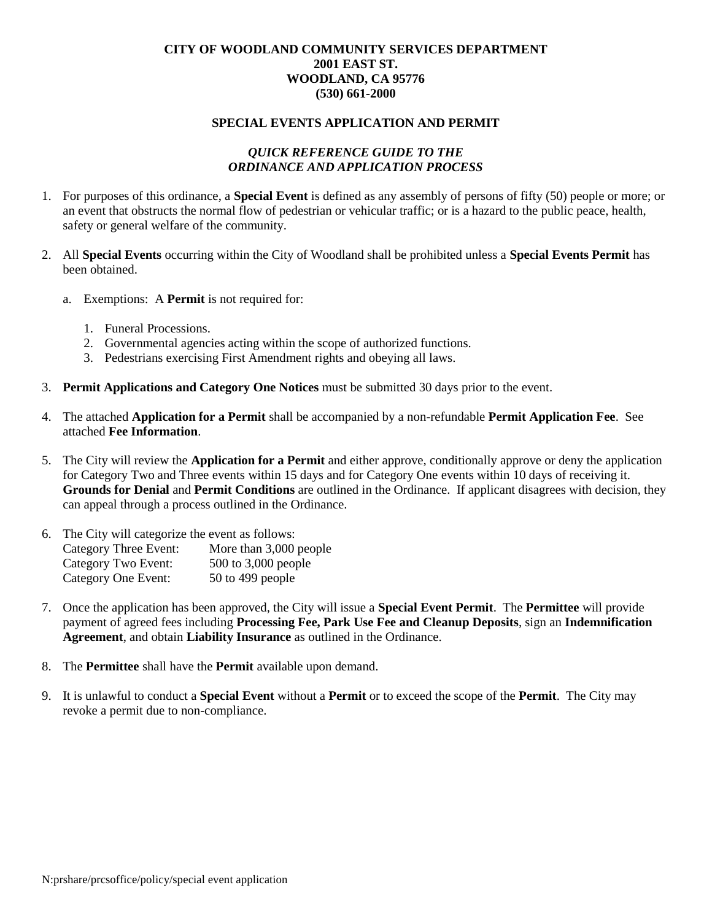### **CITY OF WOODLAND COMMUNITY SERVICES DEPARTMENT 2001 EAST ST. WOODLAND, CA 95776 (530) 661-2000**

#### **SPECIAL EVENTS APPLICATION AND PERMIT**

#### *QUICK REFERENCE GUIDE TO THE ORDINANCE AND APPLICATION PROCESS*

- 1. For purposes of this ordinance, a **Special Event** is defined as any assembly of persons of fifty (50) people or more; or an event that obstructs the normal flow of pedestrian or vehicular traffic; or is a hazard to the public peace, health, safety or general welfare of the community.
- 2. All **Special Events** occurring within the City of Woodland shall be prohibited unless a **Special Events Permit** has been obtained.
	- a. Exemptions: A **Permit** is not required for:
		- 1. Funeral Processions.
		- 2. Governmental agencies acting within the scope of authorized functions.
		- 3. Pedestrians exercising First Amendment rights and obeying all laws.
- 3. **Permit Applications and Category One Notices** must be submitted 30 days prior to the event.
- 4. The attached **Application for a Permit** shall be accompanied by a non-refundable **Permit Application Fee**. See attached **Fee Information**.
- 5. The City will review the **Application for a Permit** and either approve, conditionally approve or deny the application for Category Two and Three events within 15 days and for Category One events within 10 days of receiving it. **Grounds for Denial** and **Permit Conditions** are outlined in the Ordinance. If applicant disagrees with decision, they can appeal through a process outlined in the Ordinance.
- 6. The City will categorize the event as follows: Category Three Event: More than 3,000 people Category Two Event: 500 to 3,000 people Category One Event: 50 to 499 people
- 7. Once the application has been approved, the City will issue a **Special Event Permit**. The **Permittee** will provide payment of agreed fees including **Processing Fee, Park Use Fee and Cleanup Deposits**, sign an **Indemnification Agreement**, and obtain **Liability Insurance** as outlined in the Ordinance.
- 8. The **Permittee** shall have the **Permit** available upon demand.
- 9. It is unlawful to conduct a **Special Event** without a **Permit** or to exceed the scope of the **Permit**. The City may revoke a permit due to non-compliance.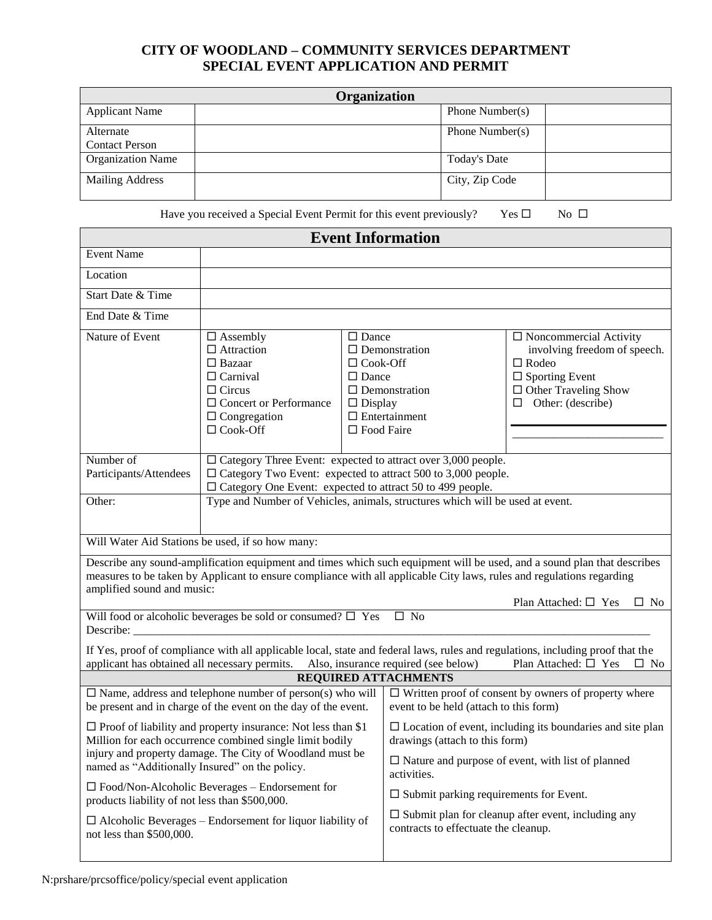## **CITY OF WOODLAND – COMMUNITY SERVICES DEPARTMENT SPECIAL EVENT APPLICATION AND PERMIT**

| Organization             |  |                     |  |  |
|--------------------------|--|---------------------|--|--|
| <b>Applicant Name</b>    |  | Phone Number( $s$ ) |  |  |
| Alternate                |  | Phone Number(s)     |  |  |
| <b>Contact Person</b>    |  |                     |  |  |
| <b>Organization Name</b> |  | <b>Today's Date</b> |  |  |
| <b>Mailing Address</b>   |  | City, Zip Code      |  |  |

Have you received a Special Event Permit for this event previously? Yes  $\square$  No  $\square$ 

| <b>Event Information</b>                                                                                                                                                                                                                                                                                                    |                                                                                                                                                                      |                                                                                                                                                                               |                                                                      |                                                                                                                                                                      |  |
|-----------------------------------------------------------------------------------------------------------------------------------------------------------------------------------------------------------------------------------------------------------------------------------------------------------------------------|----------------------------------------------------------------------------------------------------------------------------------------------------------------------|-------------------------------------------------------------------------------------------------------------------------------------------------------------------------------|----------------------------------------------------------------------|----------------------------------------------------------------------------------------------------------------------------------------------------------------------|--|
| <b>Event Name</b>                                                                                                                                                                                                                                                                                                           |                                                                                                                                                                      |                                                                                                                                                                               |                                                                      |                                                                                                                                                                      |  |
| Location                                                                                                                                                                                                                                                                                                                    |                                                                                                                                                                      |                                                                                                                                                                               |                                                                      |                                                                                                                                                                      |  |
| Start Date & Time                                                                                                                                                                                                                                                                                                           |                                                                                                                                                                      |                                                                                                                                                                               |                                                                      |                                                                                                                                                                      |  |
| End Date & Time                                                                                                                                                                                                                                                                                                             |                                                                                                                                                                      |                                                                                                                                                                               |                                                                      |                                                                                                                                                                      |  |
| Nature of Event                                                                                                                                                                                                                                                                                                             | $\Box$ Assembly<br>$\Box$ Attraction<br>$\Box$ Bazaar<br>$\Box$ Carnival<br>$\Box$ Circus<br>$\Box$ Concert or Performance<br>$\Box$ Congregation<br>$\Box$ Cook-Off | $\Box$ Dance<br>$\Box$ Cook-Off<br>$\Box$ Dance<br>$\Box$ Display<br>$\square$ Food Faire                                                                                     | $\Box$ Demonstration<br>$\Box$ Demonstration<br>$\Box$ Entertainment | $\Box$ Noncommercial Activity<br>involving freedom of speech.<br>$\Box$ Rodeo<br>$\square$ Sporting Event<br>$\Box$ Other Traveling Show<br>$\Box$ Other: (describe) |  |
| Number of<br>Participants/Attendees                                                                                                                                                                                                                                                                                         | $\square$ Category Three Event: expected to attract over 3,000 people.<br>$\Box$ Category Two Event: expected to attract 500 to 3,000 people.                        |                                                                                                                                                                               |                                                                      |                                                                                                                                                                      |  |
| Other:                                                                                                                                                                                                                                                                                                                      | $\Box$ Category One Event: expected to attract 50 to 499 people.<br>Type and Number of Vehicles, animals, structures which will be used at event.                    |                                                                                                                                                                               |                                                                      |                                                                                                                                                                      |  |
|                                                                                                                                                                                                                                                                                                                             | Will Water Aid Stations be used, if so how many:                                                                                                                     |                                                                                                                                                                               |                                                                      |                                                                                                                                                                      |  |
| Describe any sound-amplification equipment and times which such equipment will be used, and a sound plan that describes<br>measures to be taken by Applicant to ensure compliance with all applicable City laws, rules and regulations regarding<br>amplified sound and music:<br>Plan Attached: $\square$ Yes<br>$\Box$ No |                                                                                                                                                                      |                                                                                                                                                                               |                                                                      |                                                                                                                                                                      |  |
| Will food or alcoholic beverages be sold or consumed? $\square$ Yes<br>$\square$ No<br>Describe:                                                                                                                                                                                                                            |                                                                                                                                                                      |                                                                                                                                                                               |                                                                      |                                                                                                                                                                      |  |
| If Yes, proof of compliance with all applicable local, state and federal laws, rules and regulations, including proof that the<br>applicant has obtained all necessary permits. Also, insurance required (see below)<br>Plan Attached: $\square$ Yes<br>$\Box$ No                                                           |                                                                                                                                                                      |                                                                                                                                                                               |                                                                      |                                                                                                                                                                      |  |
| <b>REQUIRED ATTACHMENTS</b>                                                                                                                                                                                                                                                                                                 |                                                                                                                                                                      |                                                                                                                                                                               |                                                                      |                                                                                                                                                                      |  |
| $\Box$ Name, address and telephone number of person(s) who will<br>be present and in charge of the event on the day of the event.                                                                                                                                                                                           |                                                                                                                                                                      |                                                                                                                                                                               | event to be held (attach to this form)                               | $\Box$ Written proof of consent by owners of property where                                                                                                          |  |
| $\Box$ Proof of liability and property insurance: Not less than \$1<br>Million for each occurrence combined single limit bodily<br>injury and property damage. The City of Woodland must be<br>named as "Additionally Insured" on the policy.                                                                               |                                                                                                                                                                      | $\Box$ Location of event, including its boundaries and site plan<br>drawings (attach to this form)<br>$\Box$ Nature and purpose of event, with list of planned<br>activities. |                                                                      |                                                                                                                                                                      |  |
| $\Box$ Food/Non-Alcoholic Beverages – Endorsement for<br>products liability of not less than \$500,000.                                                                                                                                                                                                                     |                                                                                                                                                                      | $\square$ Submit parking requirements for Event.                                                                                                                              |                                                                      |                                                                                                                                                                      |  |
| $\Box$ Alcoholic Beverages – Endorsement for liquor liability of<br>not less than \$500,000.                                                                                                                                                                                                                                |                                                                                                                                                                      | contracts to effectuate the cleanup.                                                                                                                                          | $\square$ Submit plan for cleanup after event, including any         |                                                                                                                                                                      |  |